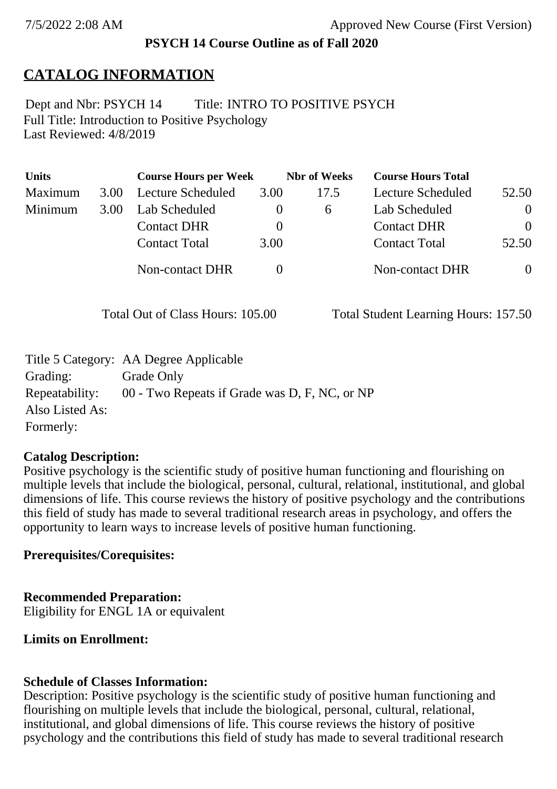#### **PSYCH 14 Course Outline as of Fall 2020**

# **CATALOG INFORMATION**

Full Title: Introduction to Positive Psychology Last Reviewed: 4/8/2019 Dept and Nbr: PSYCH 14 Title: INTRO TO POSITIVE PSYCH

| <b>Units</b> |      | <b>Course Hours per Week</b> |          | <b>Nbr</b> of Weeks | <b>Course Hours Total</b> |          |
|--------------|------|------------------------------|----------|---------------------|---------------------------|----------|
| Maximum      | 3.00 | Lecture Scheduled            | 3.00     | 17.5                | Lecture Scheduled         | 52.50    |
| Minimum      | 3.00 | Lab Scheduled                | $\theta$ | $\sigma$            | Lab Scheduled             | $\theta$ |
|              |      | <b>Contact DHR</b>           | $\theta$ |                     | <b>Contact DHR</b>        | $\Omega$ |
|              |      | <b>Contact Total</b>         | 3.00     |                     | <b>Contact Total</b>      | 52.50    |
|              |      | Non-contact DHR              |          |                     | <b>Non-contact DHR</b>    | $\theta$ |

Total Out of Class Hours: 105.00 Total Student Learning Hours: 157.50

|                 | Title 5 Category: AA Degree Applicable        |
|-----------------|-----------------------------------------------|
| Grading:        | Grade Only                                    |
| Repeatability:  | 00 - Two Repeats if Grade was D, F, NC, or NP |
| Also Listed As: |                                               |
| Formerly:       |                                               |

#### **Catalog Description:**

Positive psychology is the scientific study of positive human functioning and flourishing on multiple levels that include the biological, personal, cultural, relational, institutional, and global dimensions of life. This course reviews the history of positive psychology and the contributions this field of study has made to several traditional research areas in psychology, and offers the opportunity to learn ways to increase levels of positive human functioning.

#### **Prerequisites/Corequisites:**

#### **Recommended Preparation:**

Eligibility for ENGL 1A or equivalent

#### **Limits on Enrollment:**

#### **Schedule of Classes Information:**

Description: Positive psychology is the scientific study of positive human functioning and flourishing on multiple levels that include the biological, personal, cultural, relational, institutional, and global dimensions of life. This course reviews the history of positive psychology and the contributions this field of study has made to several traditional research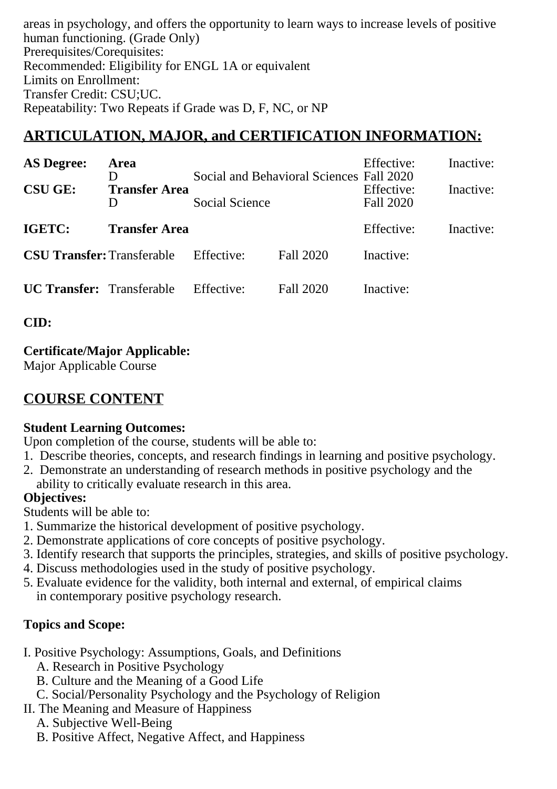areas in psychology, and offers the opportunity to learn ways to increase levels of positive human functioning. (Grade Only) Prerequisites/Corequisites: Recommended: Eligibility for ENGL 1A or equivalent Limits on Enrollment: Transfer Credit: CSU;UC. Repeatability: Two Repeats if Grade was D, F, NC, or NP

# **ARTICULATION, MAJOR, and CERTIFICATION INFORMATION:**

| <b>AS Degree:</b><br><b>CSU GE:</b> | <b>Area</b><br>D<br><b>Transfer Area</b> | Social and Behavioral Sciences Fall 2020<br>Social Science |           | Effective:<br>Effective:<br>Fall 2020 | Inactive:<br>Inactive: |
|-------------------------------------|------------------------------------------|------------------------------------------------------------|-----------|---------------------------------------|------------------------|
|                                     | Ð                                        |                                                            |           |                                       |                        |
| IGETC:                              | <b>Transfer Area</b>                     |                                                            |           | Effective:                            | Inactive:              |
| <b>CSU Transfer: Transferable</b>   |                                          | Effective:                                                 | Fall 2020 | Inactive:                             |                        |
| <b>UC Transfer:</b> Transferable    |                                          | Effective:                                                 | Fall 2020 | Inactive:                             |                        |

**CID:**

## **Certificate/Major Applicable:**

[Major Applicable Course](SR_ClassCheck.aspx?CourseKey=PSYCH14)

# **COURSE CONTENT**

### **Student Learning Outcomes:**

Upon completion of the course, students will be able to:

- 1. Describe theories, concepts, and research findings in learning and positive psychology.
- 2. Demonstrate an understanding of research methods in positive psychology and the ability to critically evaluate research in this area.

### **Objectives:**

Students will be able to:

- 1. Summarize the historical development of positive psychology.
- 2. Demonstrate applications of core concepts of positive psychology.
- 3. Identify research that supports the principles, strategies, and skills of positive psychology.
- 4. Discuss methodologies used in the study of positive psychology.
- 5. Evaluate evidence for the validity, both internal and external, of empirical claims in contemporary positive psychology research.

# **Topics and Scope:**

- I. Positive Psychology: Assumptions, Goals, and Definitions
	- A. Research in Positive Psychology
	- B. Culture and the Meaning of a Good Life
	- C. Social/Personality Psychology and the Psychology of Religion
- II. The Meaning and Measure of Happiness
	- A. Subjective Well-Being
	- B. Positive Affect, Negative Affect, and Happiness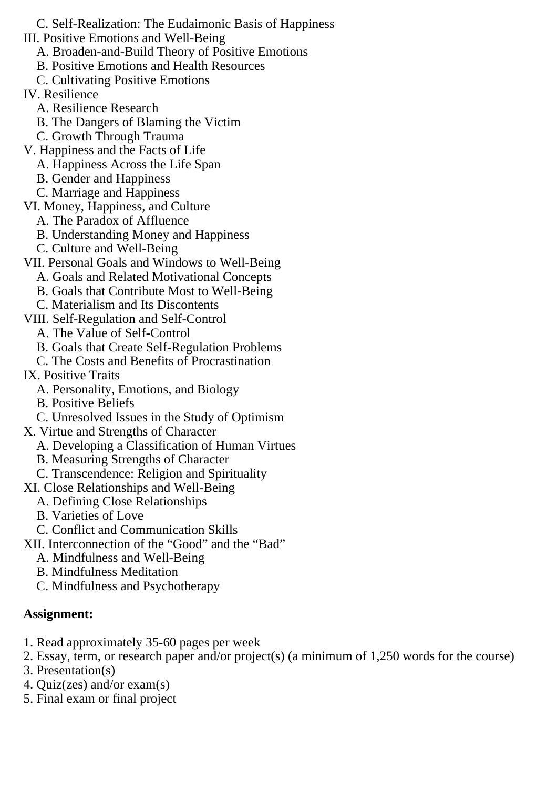C. Self-Realization: The Eudaimonic Basis of Happiness III. Positive Emotions and Well-Being

A. Broaden-and-Build Theory of Positive Emotions

B. Positive Emotions and Health Resources

C. Cultivating Positive Emotions

IV. Resilience

- A. Resilience Research
- B. The Dangers of Blaming the Victim
- C. Growth Through Trauma
- V. Happiness and the Facts of Life
	- A. Happiness Across the Life Span
	- B. Gender and Happiness
	- C. Marriage and Happiness

VI. Money, Happiness, and Culture

- A. The Paradox of Affluence
- B. Understanding Money and Happiness
- C. Culture and Well-Being
- VII. Personal Goals and Windows to Well-Being
	- A. Goals and Related Motivational Concepts
	- B. Goals that Contribute Most to Well-Being
	- C. Materialism and Its Discontents
- VIII. Self-Regulation and Self-Control
	- A. The Value of Self-Control
	- B. Goals that Create Self-Regulation Problems
	- C. The Costs and Benefits of Procrastination
- IX. Positive Traits
	- A. Personality, Emotions, and Biology
	- B. Positive Beliefs
	- C. Unresolved Issues in the Study of Optimism
- X. Virtue and Strengths of Character
	- A. Developing a Classification of Human Virtues
	- B. Measuring Strengths of Character
	- C. Transcendence: Religion and Spirituality
- XI. Close Relationships and Well-Being
	- A. Defining Close Relationships
	- B. Varieties of Love
	- C. Conflict and Communication Skills
- XII. Interconnection of the "Good" and the "Bad"
	- A. Mindfulness and Well-Being
	- B. Mindfulness Meditation
	- C. Mindfulness and Psychotherapy

# **Assignment:**

- 1. Read approximately 35-60 pages per week
- 2. Essay, term, or research paper and/or project(s) (a minimum of 1,250 words for the course)
- 3. Presentation(s)
- 4. Quiz(zes) and/or exam(s)
- 5. Final exam or final project